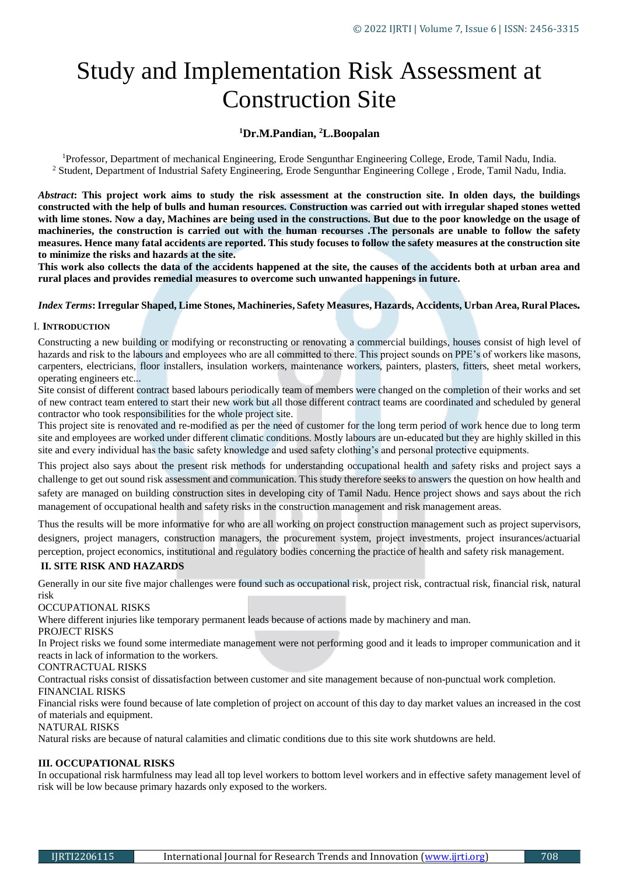# Study and Implementation Risk Assessment at Construction Site

# **<sup>1</sup>Dr.M.Pandian, <sup>2</sup>L.Boopalan**

<sup>1</sup>Professor, Department of mechanical Engineering, Erode Sengunthar Engineering College, Erode, Tamil Nadu, India. <sup>2</sup> Student, Department of Industrial Safety Engineering, Erode Sengunthar Engineering College, Erode, Tamil Nadu, India.

*Abstract***: This project work aims to study the risk assessment at the construction site. In olden days, the buildings constructed with the help of bulls and human resources. Construction was carried out with irregular shaped stones wetted with lime stones. Now a day, Machines are being used in the constructions. But due to the poor knowledge on the usage of machineries, the construction is carried out with the human recourses .The personals are unable to follow the safety measures. Hence many fatal accidents are reported. This study focuses to follow the safety measures at the construction site to minimize the risks and hazards at the site.**

**This work also collects the data of the accidents happened at the site, the causes of the accidents both at urban area and rural places and provides remedial measures to overcome such unwanted happenings in future.**

### *Index Terms***: Irregular Shaped, Lime Stones, Machineries, Safety Measures, Hazards, Accidents, Urban Area, Rural Places***.*

#### I. **INTRODUCTION**

Constructing a new building or modifying or reconstructing or renovating a commercial buildings, houses consist of high level of hazards and risk to the labours and employees who are all committed to there. This project sounds on PPE's of workers like masons, carpenters, electricians, floor installers, insulation workers, maintenance workers, painters, plasters, fitters, sheet metal workers, operating engineers etc...

Site consist of different contract based labours periodically team of members were changed on the completion of their works and set of new contract team entered to start their new work but all those different contract teams are coordinated and scheduled by general contractor who took responsibilities for the whole project site.

This project site is renovated and re-modified as per the need of customer for the long term period of work hence due to long term site and employees are worked under different climatic conditions. Mostly labours are un-educated but they are highly skilled in this site and every individual has the basic safety knowledge and used safety clothing's and personal protective equipments.

This project also says about the present risk methods for understanding occupational health and safety risks and project says a challenge to get out sound risk assessment and communication. This study therefore seeks to answers the question on how health and safety are managed on building construction sites in developing city of Tamil Nadu. Hence project shows and says about the rich management of occupational health and safety risks in the construction management and risk management areas.

Thus the results will be more informative for who are all working on project construction management such as project supervisors, designers, project managers, construction managers, the procurement system, project investments, project insurances/actuarial perception, project economics, institutional and regulatory bodies concerning the practice of health and safety risk management.

# **II. SITE RISK AND HAZARDS**

Generally in our site five major challenges were found such as occupational risk, project risk, contractual risk, financial risk, natural risk

# OCCUPATIONAL RISKS

Where different injuries like temporary permanent leads because of actions made by machinery and man.

PROJECT RISKS

In Project risks we found some intermediate management were not performing good and it leads to improper communication and it reacts in lack of information to the workers.

#### CONTRACTUAL RISKS

Contractual risks consist of dissatisfaction between customer and site management because of non-punctual work completion.

#### FINANCIAL RISKS

Financial risks were found because of late completion of project on account of this day to day market values an increased in the cost of materials and equipment.

## NATURAL RISKS

Natural risks are because of natural calamities and climatic conditions due to this site work shutdowns are held.

#### **III. OCCUPATIONAL RISKS**

In occupational risk harmfulness may lead all top level workers to bottom level workers and in effective safety management level of risk will be low because primary hazards only exposed to the workers.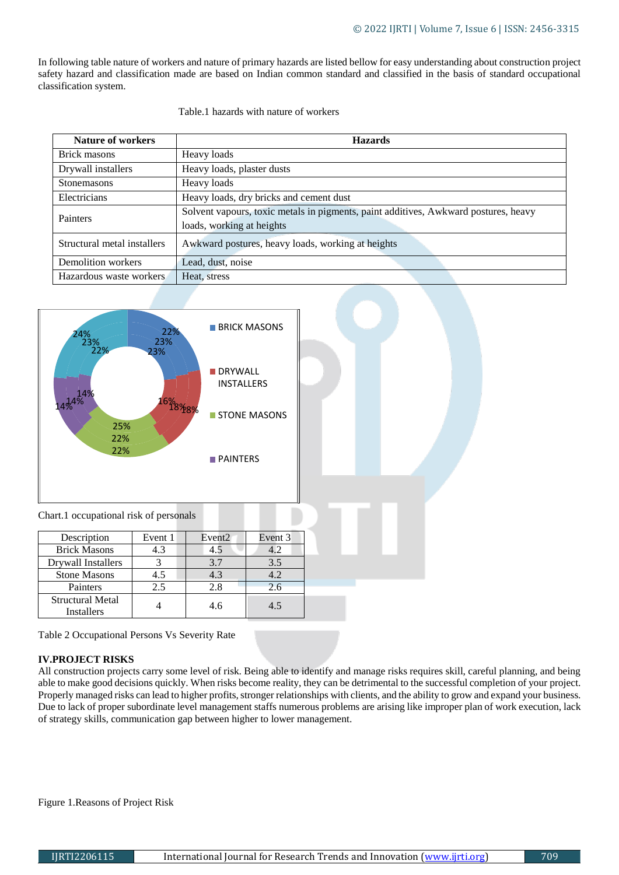In following table nature of workers and nature of primary hazards are listed bellow for easy understanding about construction project safety hazard and classification made are based on Indian common standard and classified in the basis of standard occupational classification system.

| Table.1 hazards with nature of workers |
|----------------------------------------|
|                                        |

| <b>Nature of workers</b>    | <b>Hazards</b>                                                                                                   |  |  |  |
|-----------------------------|------------------------------------------------------------------------------------------------------------------|--|--|--|
| Brick masons                | Heavy loads                                                                                                      |  |  |  |
| Drywall installers          | Heavy loads, plaster dusts                                                                                       |  |  |  |
| <b>Stonemasons</b>          | Heavy loads                                                                                                      |  |  |  |
| Electricians                | Heavy loads, dry bricks and cement dust                                                                          |  |  |  |
| Painters                    | Solvent vapours, toxic metals in pigments, paint additives, Awkward postures, heavy<br>loads, working at heights |  |  |  |
| Structural metal installers | Awkward postures, heavy loads, working at heights                                                                |  |  |  |
| Demolition workers          | Lead, dust, noise                                                                                                |  |  |  |
| Hazardous waste workers     | Heat, stress                                                                                                     |  |  |  |



| Description                    | Event 1 | Event <sub>2</sub> | Event 3 |
|--------------------------------|---------|--------------------|---------|
| <b>Brick Masons</b>            | 4.3     | 4.5                |         |
| Drywall Installers             |         | 3.7                | 3.5     |
| <b>Stone Masons</b>            | 4.5     | 4.3                | 4.2     |
| Painters                       | 2.5     | 2.8                | 2.6     |
| Structural Metal<br>Installers |         | 4.6                | 4.5     |

Table 2 Occupational Persons Vs Severity Rate

# **IV.PROJECT RISKS**

All construction projects carry some level of risk. Being able to identify and manage risks requires skill, careful planning, and being able to make good decisions quickly. When risks become reality, they can be detrimental to the successful completion of your project. Properly managed risks can lead to higher profits, stronger relationships with clients, and the ability to grow and expand your business. Due to lack of proper subordinate level management staffs numerous problems are arising like improper plan of work execution, lack of strategy skills, communication gap between higher to lower management.

Figure 1.Reasons of Project Risk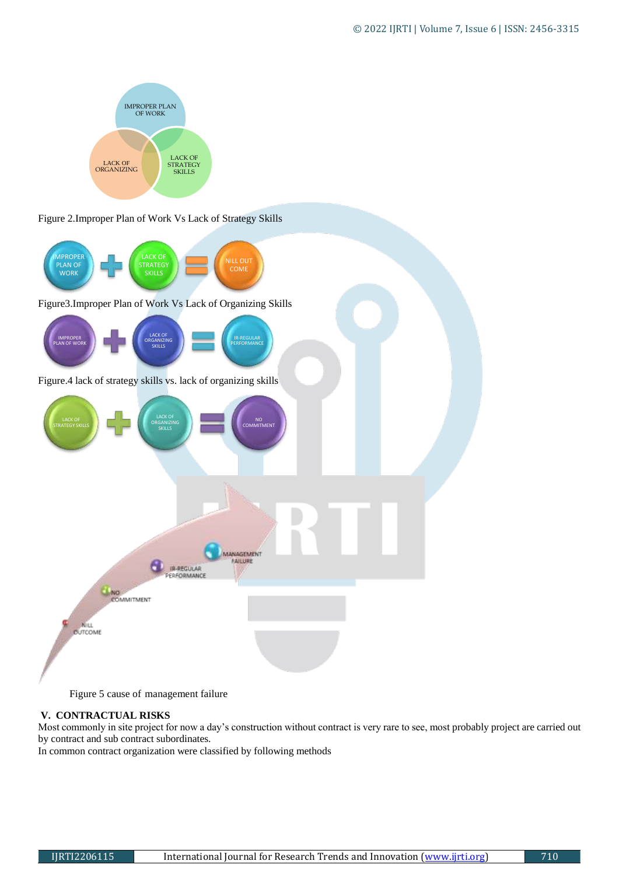

Figure 2.Improper Plan of Work Vs Lack of Strategy Skills



Figure 5 cause of management failure

## **V. CONTRACTUAL RISKS**

Most commonly in site project for now a day's construction without contract is very rare to see, most probably project are carried out by contract and sub contract subordinates.

In common contract organization were classified by following methods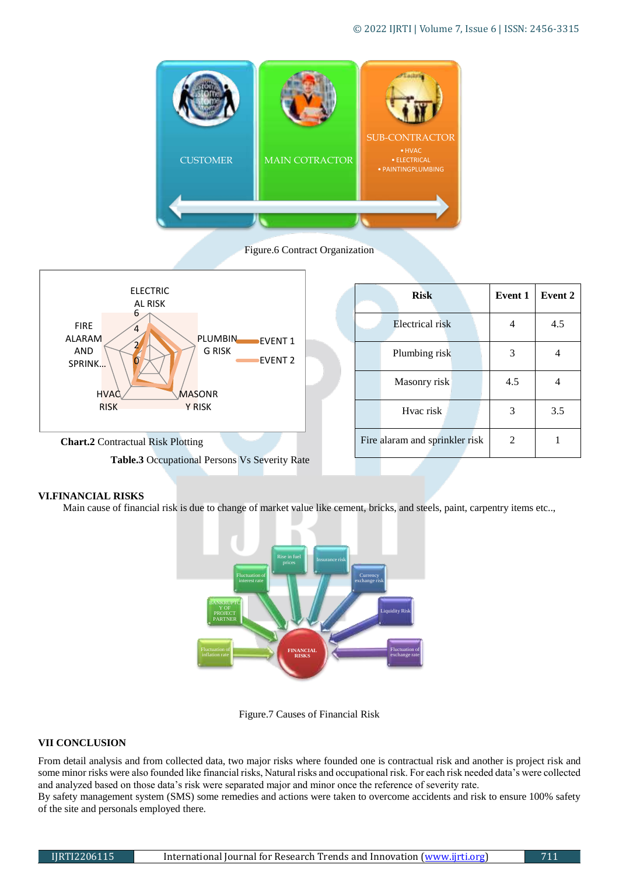

Figure.6 Contract Organization



|  | <b>Risk</b>                    |  | <b>Event 1</b> | Event 2 |
|--|--------------------------------|--|----------------|---------|
|  | Electrical risk                |  |                | 4.5     |
|  | Plumbing risk                  |  | 3              |         |
|  | Masonry risk                   |  | 4.5            |         |
|  | Hyac risk                      |  | 3              | 3.5     |
|  | Fire alaram and sprinkler risk |  |                |         |

## **VI.FINANCIAL RISKS**

Main cause of financial risk is due to change of market value like cement, bricks, and steels, paint, carpentry items etc..,



#### Figure.7 Causes of Financial Risk

# **VII CONCLUSION**

From detail analysis and from collected data, two major risks where founded one is contractual risk and another is project risk and some minor risks were also founded like financial risks, Natural risks and occupational risk. For each risk needed data's were collected and analyzed based on those data's risk were separated major and minor once the reference of severity rate.

By safety management system (SMS) some remedies and actions were taken to overcome accidents and risk to ensure 100% safety of the site and personals employed there.